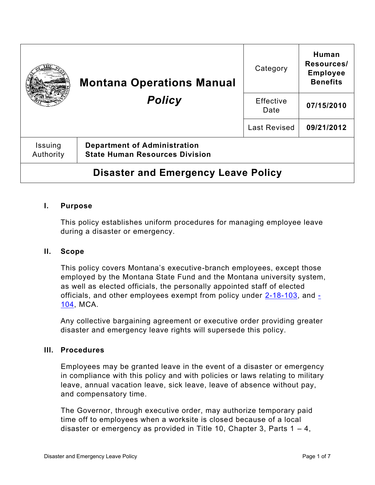|                                            | <b>Montana Operations Manual</b><br><b>Policy</b>                            | Category            | Human<br>Resources/<br><b>Employee</b><br><b>Benefits</b> |
|--------------------------------------------|------------------------------------------------------------------------------|---------------------|-----------------------------------------------------------|
|                                            |                                                                              | Effective<br>Date   | 07/15/2010                                                |
|                                            |                                                                              | <b>Last Revised</b> | 09/21/2012                                                |
| Issuing<br>Authority                       | <b>Department of Administration</b><br><b>State Human Resources Division</b> |                     |                                                           |
| <b>Disaster and Emergency Leave Policy</b> |                                                                              |                     |                                                           |

### **I. Purpose**

This policy establishes uniform procedures for managing employee leave during a disaster or emergency.

### **II. Scope**

This policy covers Montana's executive-branch employees, except those employed by the Montana State Fund and the Montana university system, as well as elected officials, the personally appointed staff of elected officials, and other employees exempt from policy under  $2-18-103$ , and  $\overline{z}$ [104,](https://leg.mt.gov/bills/mca/title_0020/chapter_0180/part_0010/section_0040/0020-0180-0010-0040.html) MCA.

Any collective bargaining agreement or executive order providing greater disaster and emergency leave rights will supersede this policy.

### **III. Procedures**

Employees may be granted leave in the event of a disaster or emergency in compliance with this policy and with policies or laws relating to military leave, annual vacation leave, sick leave, leave of absence without pay, and compensatory time.

The Governor, through executive order, may authorize temporary paid time off to employees when a worksite is closed because of a local disaster or emergency as provided in Title 10, Chapter 3, Parts  $1 - 4$ ,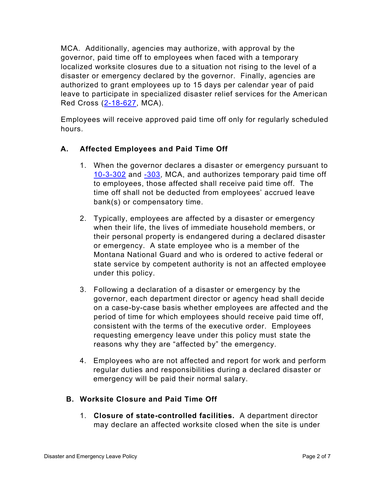MCA. Additionally, agencies may authorize, with approval by the governor, paid time off to employees when faced with a temporary localized worksite closures due to a situation not rising to the level of a disaster or emergency declared by the governor. Finally, agencies are authorized to grant employees up to 15 days per calendar year of paid leave to participate in specialized disaster relief services for the American Red Cross [\(2-18-627,](https://leg.mt.gov/bills/mca/title_0020/chapter_0180/part_0060/section_0270/0020-0180-0060-0270.html) MCA).

Employees will receive approved paid time off only for regularly scheduled hours.

# **A. Affected Employees and Paid Time Off**

- 1. When the governor declares a disaster or emergency pursuant to [10-3-302](https://leg.mt.gov/bills/mca/title_0100/chapter_0030/part_0030/section_0020/0100-0030-0030-0020.html) and [-303,](https://leg.mt.gov/bills/mca/title_0100/chapter_0030/part_0030/section_0030/0100-0030-0030-0030.html) MCA, and authorizes temporary paid time off to employees, those affected shall receive paid time off. The time off shall not be deducted from employees' accrued leave bank(s) or compensatory time.
- 2. Typically, employees are affected by a disaster or emergency when their life, the lives of immediate household members, or their personal property is endangered during a declared disaster or emergency. A state employee who is a member of the Montana National Guard and who is ordered to active federal or state service by competent authority is not an affected employee under this policy.
- 3. Following a declaration of a disaster or emergency by the governor, each department director or agency head shall decide on a case-by-case basis whether employees are affected and the period of time for which employees should receive paid time off, consistent with the terms of the executive order. Employees requesting emergency leave under this policy must state the reasons why they are "affected by" the emergency.
- 4. Employees who are not affected and report for work and perform regular duties and responsibilities during a declared disaster or emergency will be paid their normal salary.

## **B. Worksite Closure and Paid Time Off**

1. **Closure of state-controlled facilities.** A department director may declare an affected worksite closed when the site is under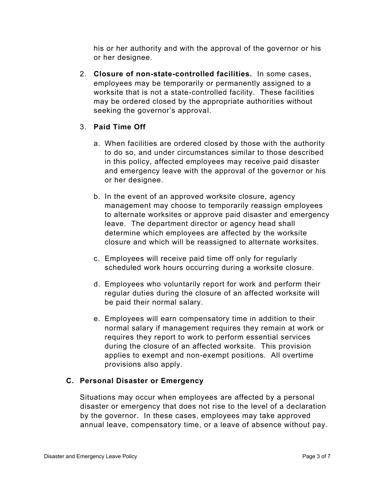his or her authority and with the approval of the governor or his or her designee.

2. **Closure of non-state-controlled facilities.** In some cases, employees may be temporarily or permanently assigned to a worksite that is not a state-controlled facility. These facilities may be ordered closed by the appropriate authorities without seeking the governor's approval.

# 3. **Paid Time Off**

- a. When facilities are ordered closed by those with the authority to do so, and under circumstances similar to those described in this policy, affected employees may receive paid disaster and emergency leave with the approval of the governor or his or her designee.
- b. In the event of an approved worksite closure, agency management may choose to temporarily reassign employees to alternate worksites or approve paid disaster and emergency leave. The department director or agency head shall determine which employees are affected by the worksite closure and which will be reassigned to alternate worksites.
- c. Employees will receive paid time off only for regularly scheduled work hours occurring during a worksite closure.
- d. Employees who voluntarily report for work and perform their regular duties during the closure of an affected worksite will be paid their normal salary.
- e. Employees will earn compensatory time in addition to their normal salary if management requires they remain at work or requires they report to work to perform essential services during the closure of an affected worksite. This provision applies to exempt and non-exempt positions. All overtime provisions also apply.

## **C. Personal Disaster or Emergency**

Situations may occur when employees are affected by a personal disaster or emergency that does not rise to the level of a declaration by the governor. In these cases, employees may take approved annual leave, compensatory time, or a leave of absence without pay.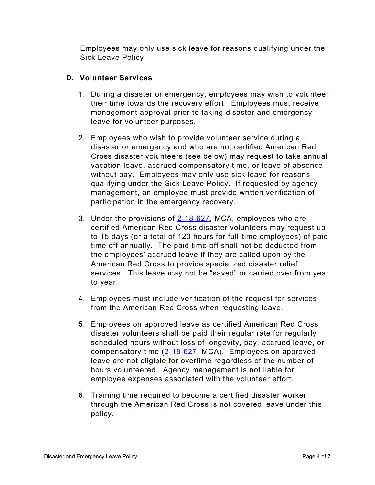Employees may only use sick leave for reasons qualifying under the Sick Leave Policy.

# **D. Volunteer Services**

- 1. During a disaster or emergency, employees may wish to volunteer their time towards the recovery effort. Employees must receive management approval prior to taking disaster and emergency leave for volunteer purposes.
- 2. Employees who wish to provide volunteer service during a disaster or emergency and who are not certified American Red Cross disaster volunteers (see below) may request to take annual vacation leave, accrued compensatory time, or leave of absence without pay. Employees may only use sick leave for reasons qualifying under the Sick Leave Policy. If requested by agency management, an employee must provide written verification of participation in the emergency recovery.
- 3. Under the provisions of [2-18-627,](https://leg.mt.gov/bills/mca/title_0020/chapter_0180/part_0060/section_0270/0020-0180-0060-0270.html) MCA, employees who are certified American Red Cross disaster volunteers may request up to 15 days (or a total of 120 hours for full-time employees) of paid time off annually. The paid time off shall not be deducted from the employees' accrued leave if they are called upon by the American Red Cross to provide specialized disaster relief services. This leave may not be "saved" or carried over from year to year.
- 4. Employees must include verification of the request for services from the American Red Cross when requesting leave.
- 5. Employees on approved leave as certified American Red Cross disaster volunteers shall be paid their regular rate for regularly scheduled hours without loss of longevity, pay, accrued leave, or compensatory time  $(2-18-627, MCA)$  $(2-18-627, MCA)$ . Employees on approved leave are not eligible for overtime regardless of the number of hours volunteered. Agency management is not liable for employee expenses associated with the volunteer effort.
- 6. Training time required to become a certified disaster worker through the American Red Cross is not covered leave under this policy.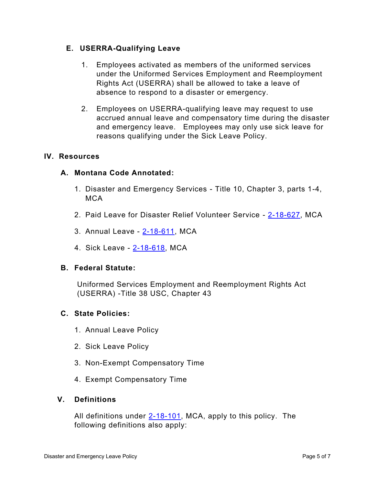### **E. USERRA-Qualifying Leave**

- 1. Employees activated as members of the uniformed services under the Uniformed Services Employment and Reemployment Rights Act (USERRA) shall be allowed to take a leave of absence to respond to a disaster or emergency.
- 2. Employees on USERRA-qualifying leave may request to use accrued annual leave and compensatory time during the disaster and emergency leave. Employees may only use sick leave for reasons qualifying under the Sick Leave Policy.

### **IV. Resources**

### **A. Montana Code Annotated:**

- 1. Disaster and Emergency Services Title 10, Chapter 3, parts 1-4, **MCA**
- 2. Paid Leave for Disaster Relief Volunteer Service [2-18-627,](https://leg.mt.gov/bills/mca/title_0020/chapter_0180/part_0060/section_0270/0020-0180-0060-0270.html) MCA
- 3. Annual Leave [2-18-611,](https://leg.mt.gov/bills/mca/title_0020/chapter_0180/part_0060/section_0110/0020-0180-0060-0110.html) MCA
- 4. Sick Leave [2-18-618,](https://leg.mt.gov/bills/mca/title_0020/chapter_0180/part_0060/section_0180/0020-0180-0060-0180.html) MCA

### **B. Federal Statute:**

Uniformed Services Employment and Reemployment Rights Act (USERRA) -Title 38 USC, Chapter 43

### **C. State Policies:**

- 1. Annual Leave Policy
- 2. Sick Leave Policy
- 3. Non-Exempt Compensatory Time
- 4. Exempt Compensatory Time

### **V. Definitions**

All definitions under [2-18-101,](https://leg.mt.gov/bills/mca/title_0020/chapter_0180/part_0010/section_0010/0020-0180-0010-0010.html) MCA, apply to this policy. The following definitions also apply: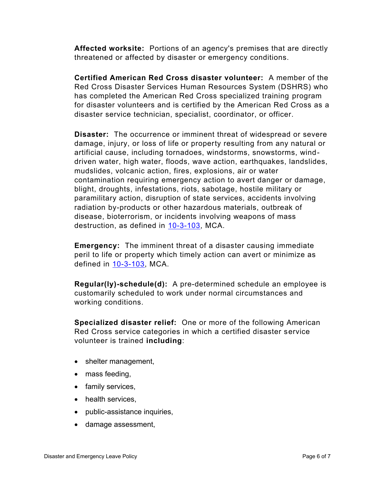**Affected worksite:** Portions of an agency's premises that are directly threatened or affected by disaster or emergency conditions.

**Certified American Red Cross disaster volunteer:** A member of the Red Cross Disaster Services Human Resources System (DSHRS) who has completed the American Red Cross specialized training program for disaster volunteers and is certified by the American Red Cross as a disaster service technician, specialist, coordinator, or officer.

**Disaster:** The occurrence or imminent threat of widespread or severe damage, injury, or loss of life or property resulting from any natural or artificial cause, including tornadoes, windstorms, snowstorms, winddriven water, high water, floods, wave action, earthquakes, landslides, mudslides, volcanic action, fires, explosions, air or water contamination requiring emergency action to avert danger or damage, blight, droughts, infestations, riots, sabotage, hostile military or paramilitary action, disruption of state services, accidents involving radiation by-products or other hazardous materials, outbreak of disease, bioterrorism, or incidents involving weapons of mass destruction, as defined in [10-3-103,](https://leg.mt.gov/bills/mca/title_0100/chapter_0030/part_0010/section_0030/0100-0030-0010-0030.html) MCA.

**Emergency:** The imminent threat of a disaster causing immediate peril to life or property which timely action can avert or minimize as defined in [10-3-103,](https://leg.mt.gov/bills/mca/title_0100/chapter_0030/part_0010/section_0030/0100-0030-0010-0030.html) MCA.

**Regular(ly)-schedule(d):** A pre-determined schedule an employee is customarily scheduled to work under normal circumstances and working conditions.

**Specialized disaster relief:** One or more of the following American Red Cross service categories in which a certified disaster service volunteer is trained **including**:

- shelter management,
- mass feeding,
- family services,
- health services,
- public-assistance inquiries,
- damage assessment,